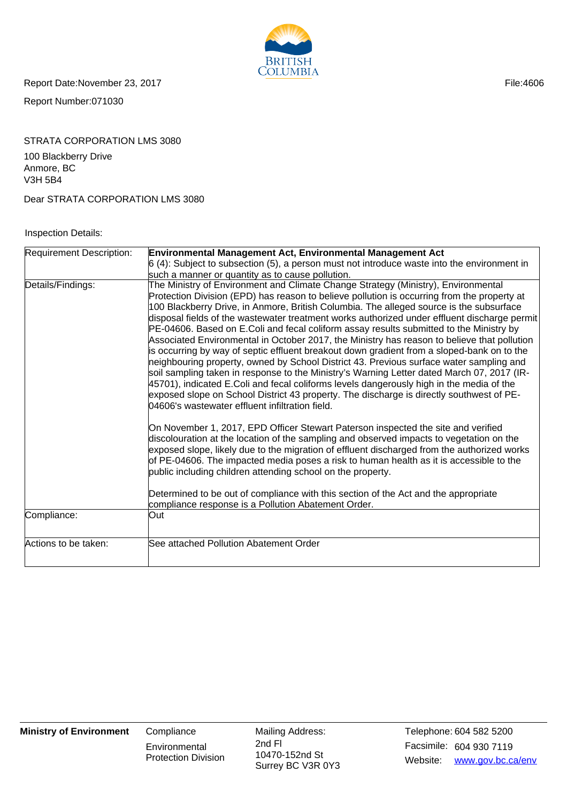

Report Date:November 23, 2017 **File:4606** 

Report Number:071030

# STRATA CORPORATION LMS 3080

100 Blackberry Drive Anmore, BC V3H 5B4

Dear STRATA CORPORATION LMS 3080

#### Inspection Details:

| <b>Requirement Description:</b> | Environmental Management Act, Environmental Management Act                                                                                                                                                                                                                                                                                                                                                                                                                                                                                                                                                                                                                                                                                                                                                                                                                                                                                                                                                                                                                                              |  |  |  |
|---------------------------------|---------------------------------------------------------------------------------------------------------------------------------------------------------------------------------------------------------------------------------------------------------------------------------------------------------------------------------------------------------------------------------------------------------------------------------------------------------------------------------------------------------------------------------------------------------------------------------------------------------------------------------------------------------------------------------------------------------------------------------------------------------------------------------------------------------------------------------------------------------------------------------------------------------------------------------------------------------------------------------------------------------------------------------------------------------------------------------------------------------|--|--|--|
|                                 | $6$ (4): Subject to subsection (5), a person must not introduce waste into the environment in                                                                                                                                                                                                                                                                                                                                                                                                                                                                                                                                                                                                                                                                                                                                                                                                                                                                                                                                                                                                           |  |  |  |
|                                 | such a manner or quantity as to cause pollution.                                                                                                                                                                                                                                                                                                                                                                                                                                                                                                                                                                                                                                                                                                                                                                                                                                                                                                                                                                                                                                                        |  |  |  |
| Details/Findings:               | The Ministry of Environment and Climate Change Strategy (Ministry), Environmental<br>Protection Division (EPD) has reason to believe pollution is occurring from the property at<br>100 Blackberry Drive, in Anmore, British Columbia. The alleged source is the subsurface<br>disposal fields of the wastewater treatment works authorized under effluent discharge permit<br>PE-04606. Based on E.Coli and fecal coliform assay results submitted to the Ministry by<br>Associated Environmental in October 2017, the Ministry has reason to believe that pollution<br>is occurring by way of septic effluent breakout down gradient from a sloped-bank on to the<br>neighbouring property, owned by School District 43. Previous surface water sampling and<br>soil sampling taken in response to the Ministry's Warning Letter dated March 07, 2017 (IR-<br>45701), indicated E.Coli and fecal coliforms levels dangerously high in the media of the<br>exposed slope on School District 43 property. The discharge is directly southwest of PE-<br>04606's wastewater effluent infiltration field. |  |  |  |
|                                 | On November 1, 2017, EPD Officer Stewart Paterson inspected the site and verified<br>discolouration at the location of the sampling and observed impacts to vegetation on the<br>exposed slope, likely due to the migration of effluent discharged from the authorized works<br>of PE-04606. The impacted media poses a risk to human health as it is accessible to the<br>public including children attending school on the property.                                                                                                                                                                                                                                                                                                                                                                                                                                                                                                                                                                                                                                                                  |  |  |  |
|                                 | Determined to be out of compliance with this section of the Act and the appropriate<br>compliance response is a Pollution Abatement Order.                                                                                                                                                                                                                                                                                                                                                                                                                                                                                                                                                                                                                                                                                                                                                                                                                                                                                                                                                              |  |  |  |
| Compliance:                     | Out                                                                                                                                                                                                                                                                                                                                                                                                                                                                                                                                                                                                                                                                                                                                                                                                                                                                                                                                                                                                                                                                                                     |  |  |  |
| Actions to be taken:            | See attached Pollution Abatement Order                                                                                                                                                                                                                                                                                                                                                                                                                                                                                                                                                                                                                                                                                                                                                                                                                                                                                                                                                                                                                                                                  |  |  |  |

**Environmental** Protection Division Mailing Address: 10470-152nd St Surrey BC V3R 0Y3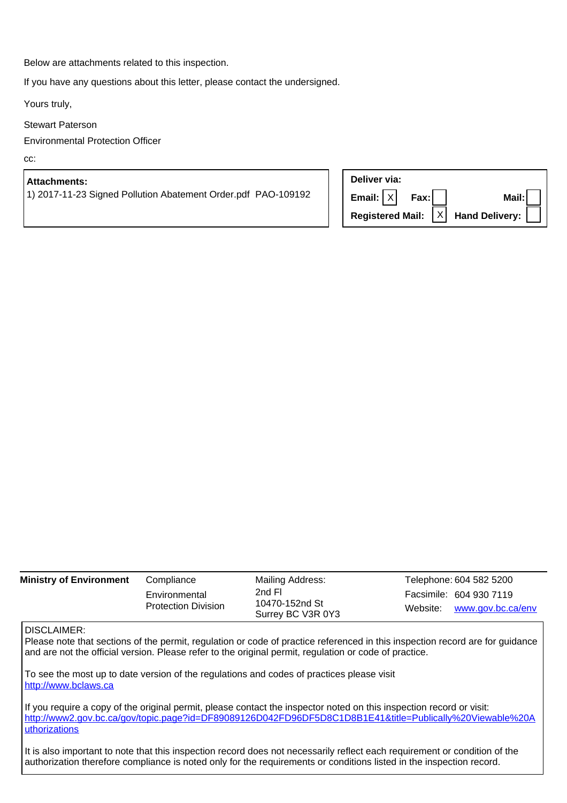Below are attachments related to this inspection.

If you have any questions about this letter, please contact the undersigned.

Yours truly,

Stewart Paterson

Environmental Protection Officer

cc:

### **Attachments:**

1) 2017-11-23 Signed Pollution Abatement Order.pdf PAO-109192

| Deliver via:              |  |                                                   |
|---------------------------|--|---------------------------------------------------|
| $ $ Email: $ X $ Fax: $ $ |  | Mail:                                             |
|                           |  | Registered Mail: $ X $ Hand Delivery: $  \cdot  $ |

| <b>Ministry of Environment</b> | Compliance                                  | Mailing Address:                              | Telephone: 604 582 5200                               |
|--------------------------------|---------------------------------------------|-----------------------------------------------|-------------------------------------------------------|
|                                | Environmental<br><b>Protection Division</b> | 2nd Fl<br>10470-152nd St<br>Surrey BC V3R 0Y3 | Facsimile: 604 930 7119<br>Website: www.gov.bc.ca/env |

#### DISCLAIMER:

Please note that sections of the permit, regulation or code of practice referenced in this inspection record are for guidance and are not the official version. Please refer to the original permit, regulation or code of practice.

To see the most up to date version of the regulations and codes of practices please visit http://www.bclaws.ca

If you require a copy of the original permit, please contact the inspector noted on this inspection record or visit: http://www2.gov.bc.ca/gov/topic.page?id=DF89089126D042FD96DF5D8C1D8B1E41&title=Publically%20Viewable%20A uthorizations

It is also important to note that this inspection record does not necessarily reflect each requirement or condition of the authorization therefore compliance is noted only for the requirements or conditions listed in the inspection record.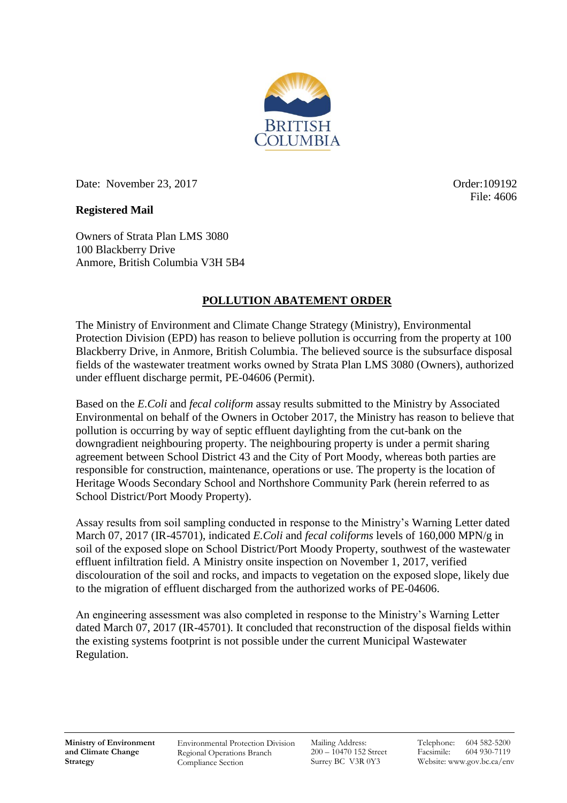

Date: November 23, 2017 Crosser and Conder:109192

File: 4606

### **Registered Mail**

Owners of Strata Plan LMS 3080 100 Blackberry Drive Anmore, British Columbia V3H 5B4

## **POLLUTION ABATEMENT ORDER**

The Ministry of Environment and Climate Change Strategy (Ministry), Environmental Protection Division (EPD) has reason to believe pollution is occurring from the property at 100 Blackberry Drive, in Anmore, British Columbia. The believed source is the subsurface disposal fields of the wastewater treatment works owned by Strata Plan LMS 3080 (Owners), authorized under effluent discharge permit, PE-04606 (Permit).

Based on the *E.Coli* and *fecal coliform* assay results submitted to the Ministry by Associated Environmental on behalf of the Owners in October 2017, the Ministry has reason to believe that pollution is occurring by way of septic effluent daylighting from the cut-bank on the downgradient neighbouring property. The neighbouring property is under a permit sharing agreement between School District 43 and the City of Port Moody, whereas both parties are responsible for construction, maintenance, operations or use. The property is the location of Heritage Woods Secondary School and Northshore Community Park (herein referred to as School District/Port Moody Property).

Assay results from soil sampling conducted in response to the Ministry's Warning Letter dated March 07, 2017 (IR-45701), indicated *E.Coli* and *fecal coliforms* levels of 160,000 MPN/g in soil of the exposed slope on School District/Port Moody Property, southwest of the wastewater effluent infiltration field. A Ministry onsite inspection on November 1, 2017, verified discolouration of the soil and rocks, and impacts to vegetation on the exposed slope, likely due to the migration of effluent discharged from the authorized works of PE-04606.

An engineering assessment was also completed in response to the Ministry's Warning Letter dated March 07, 2017 (IR-45701). It concluded that reconstruction of the disposal fields within the existing systems footprint is not possible under the current Municipal Wastewater Regulation.

Environmental Protection Division Regional Operations Branch Compliance Section

Mailing Address: 200 – 10470 152 Street Surrey BC V3R 0Y3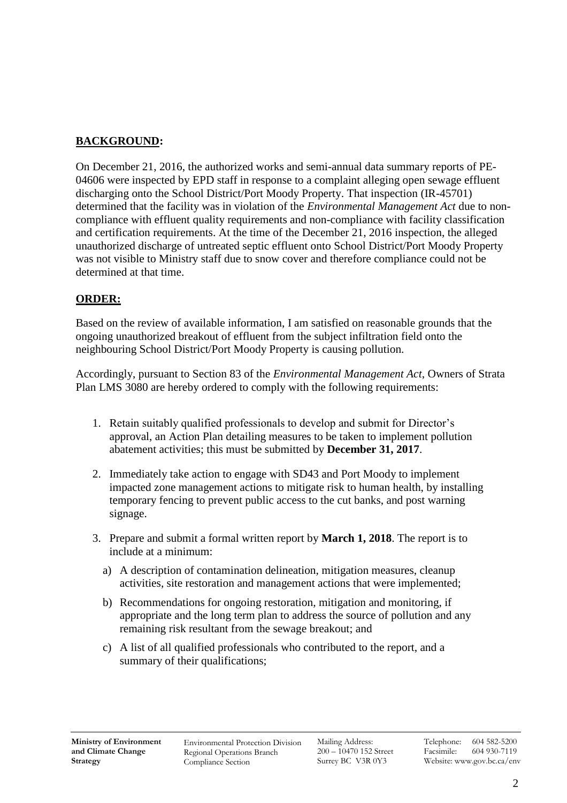# **BACKGROUND:**

On December 21, 2016, the authorized works and semi-annual data summary reports of PE-04606 were inspected by EPD staff in response to a complaint alleging open sewage effluent discharging onto the School District/Port Moody Property. That inspection (IR-45701) determined that the facility was in violation of the *Environmental Management Act* due to noncompliance with effluent quality requirements and non-compliance with facility classification and certification requirements. At the time of the December 21, 2016 inspection, the alleged unauthorized discharge of untreated septic effluent onto School District/Port Moody Property was not visible to Ministry staff due to snow cover and therefore compliance could not be determined at that time.

## **ORDER:**

Based on the review of available information, I am satisfied on reasonable grounds that the ongoing unauthorized breakout of effluent from the subject infiltration field onto the neighbouring School District/Port Moody Property is causing pollution.

Accordingly, pursuant to Section 83 of the *Environmental Management Act*, Owners of Strata Plan LMS 3080 are hereby ordered to comply with the following requirements:

- 1. Retain suitably qualified professionals to develop and submit for Director's approval, an Action Plan detailing measures to be taken to implement pollution abatement activities; this must be submitted by **December 31, 2017**.
- 2. Immediately take action to engage with SD43 and Port Moody to implement impacted zone management actions to mitigate risk to human health, by installing temporary fencing to prevent public access to the cut banks, and post warning signage.
- 3. Prepare and submit a formal written report by **March 1, 2018**. The report is to include at a minimum:
	- a) A description of contamination delineation, mitigation measures, cleanup activities, site restoration and management actions that were implemented;
	- b) Recommendations for ongoing restoration, mitigation and monitoring, if appropriate and the long term plan to address the source of pollution and any remaining risk resultant from the sewage breakout; and
	- c) A list of all qualified professionals who contributed to the report, and a summary of their qualifications;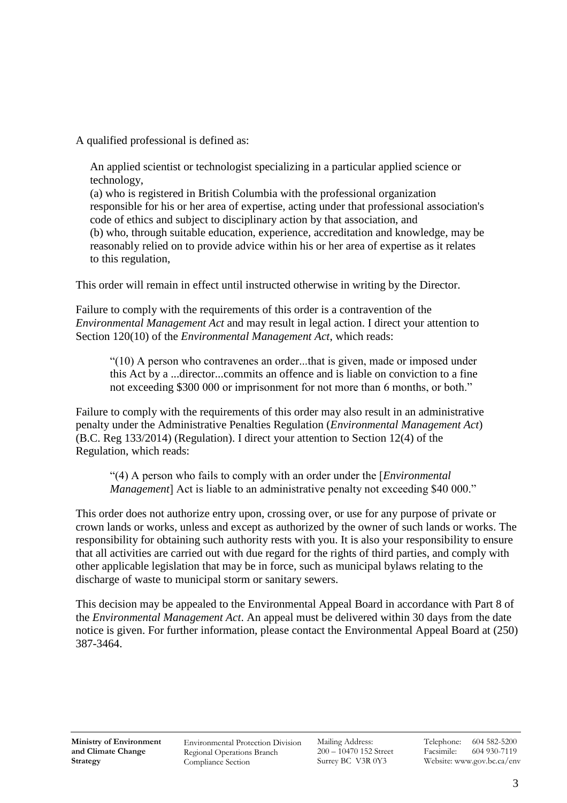A qualified professional is defined as:

 An applied scientist or technologist specializing in a particular applied science or technology,

 (a) who is registered in British Columbia with the professional organization responsible for his or her area of expertise, acting under that professional association's code of ethics and subject to disciplinary action by that association, and (b) who, through suitable education, experience, accreditation and knowledge, may be reasonably relied on to provide advice within his or her area of expertise as it relates to this regulation,

This order will remain in effect until instructed otherwise in writing by the Director.

Failure to comply with the requirements of this order is a contravention of the *Environmental Management Act* and may result in legal action. I direct your attention to Section 120(10) of the *Environmental Management Act*, which reads:

"(10) A person who contravenes an order...that is given, made or imposed under this Act by a ...director...commits an offence and is liable on conviction to a fine not exceeding \$300 000 or imprisonment for not more than 6 months, or both."

Failure to comply with the requirements of this order may also result in an administrative penalty under the Administrative Penalties Regulation (*Environmental Management Act*) (B.C. Reg 133/2014) (Regulation). I direct your attention to Section 12(4) of the Regulation, which reads:

"(4) A person who fails to comply with an order under the [*Environmental Management*] Act is liable to an administrative penalty not exceeding \$40 000."

This order does not authorize entry upon, crossing over, or use for any purpose of private or crown lands or works, unless and except as authorized by the owner of such lands or works. The responsibility for obtaining such authority rests with you. It is also your responsibility to ensure that all activities are carried out with due regard for the rights of third parties, and comply with other applicable legislation that may be in force, such as municipal bylaws relating to the discharge of waste to municipal storm or sanitary sewers.

This decision may be appealed to the Environmental Appeal Board in accordance with Part 8 of the *Environmental Management Act*. An appeal must be delivered within 30 days from the date notice is given. For further information, please contact the Environmental Appeal Board at (250) 387-3464.

Environmental Protection Division Regional Operations Branch Compliance Section

Mailing Address: 200 – 10470 152 Street Surrey BC V3R 0Y3

Telephone: 604 582-5200 Facsimile: 604 930-7119 Website: www.gov.bc.ca/env